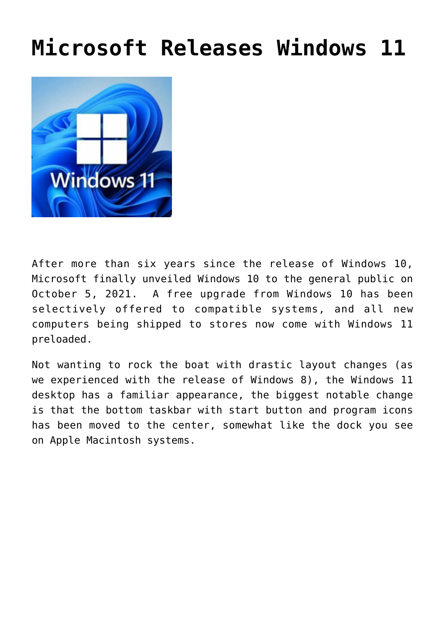## **[Microsoft Releases Windows 11](https://www.tecs-onsite.com/microsoft-releases-windows-11/)**



After more than six years since the release of Windows 10, Microsoft finally unveiled Windows 10 to the general public on October 5, 2021. A free upgrade from Windows 10 has been selectively offered to compatible systems, and all new computers being shipped to stores now come with Windows 11 preloaded.

Not wanting to rock the boat with drastic layout changes (as we experienced with the release of Windows 8), the Windows 11 desktop has a familiar appearance, the biggest notable change is that the bottom taskbar with start button and program icons has been moved to the center, somewhat like the dock you see on Apple Macintosh systems.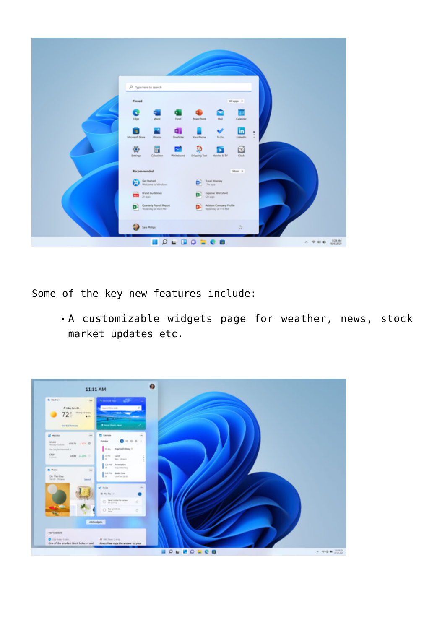

Some of the key new features include:

A customizable widgets page for weather, news, stock market updates etc.

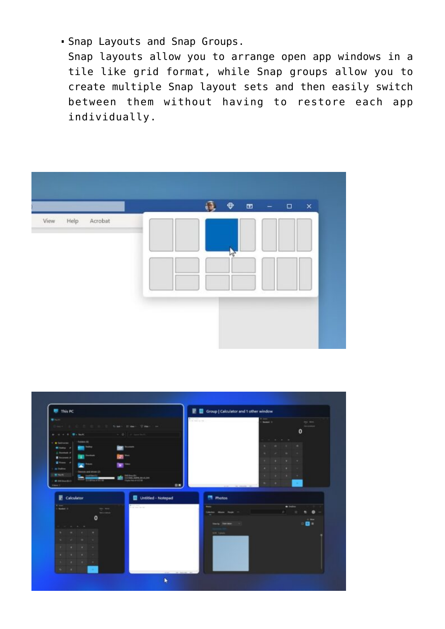Snap Layouts and Snap Groups.

Snap layouts allow you to arrange open app windows in a tile like grid format, while Snap groups allow you to create multiple Snap layout sets and then easily switch between them without having to restore each app individually.



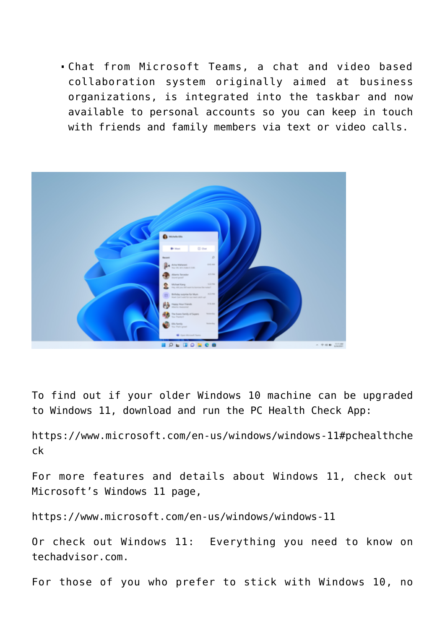Chat from Microsoft Teams, a chat and video based collaboration system originally aimed at business organizations, is integrated into the taskbar and now available to personal accounts so you can keep in touch with friends and family members via text or video calls.



To find out if your older Windows 10 machine can be upgraded to Windows 11, download and run the PC Health Check App:

[https://www.microsoft.com/en-us/windows/windows-11#pchealthche](https://www.microsoft.com/en-us/windows/windows-11#pchealthcheck) [ck](https://www.microsoft.com/en-us/windows/windows-11#pchealthcheck)

For more features and details about Windows 11, check out Microsoft's Windows 11 page,

<https://www.microsoft.com/en-us/windows/windows-11>

Or check out [Windows 11: Everything you need to know on](https://www.techadvisor.com/news/windows/windows-11-3805403/) [techadvisor.com.](https://www.techadvisor.com/news/windows/windows-11-3805403/)

For those of you who prefer to stick with Windows 10, no